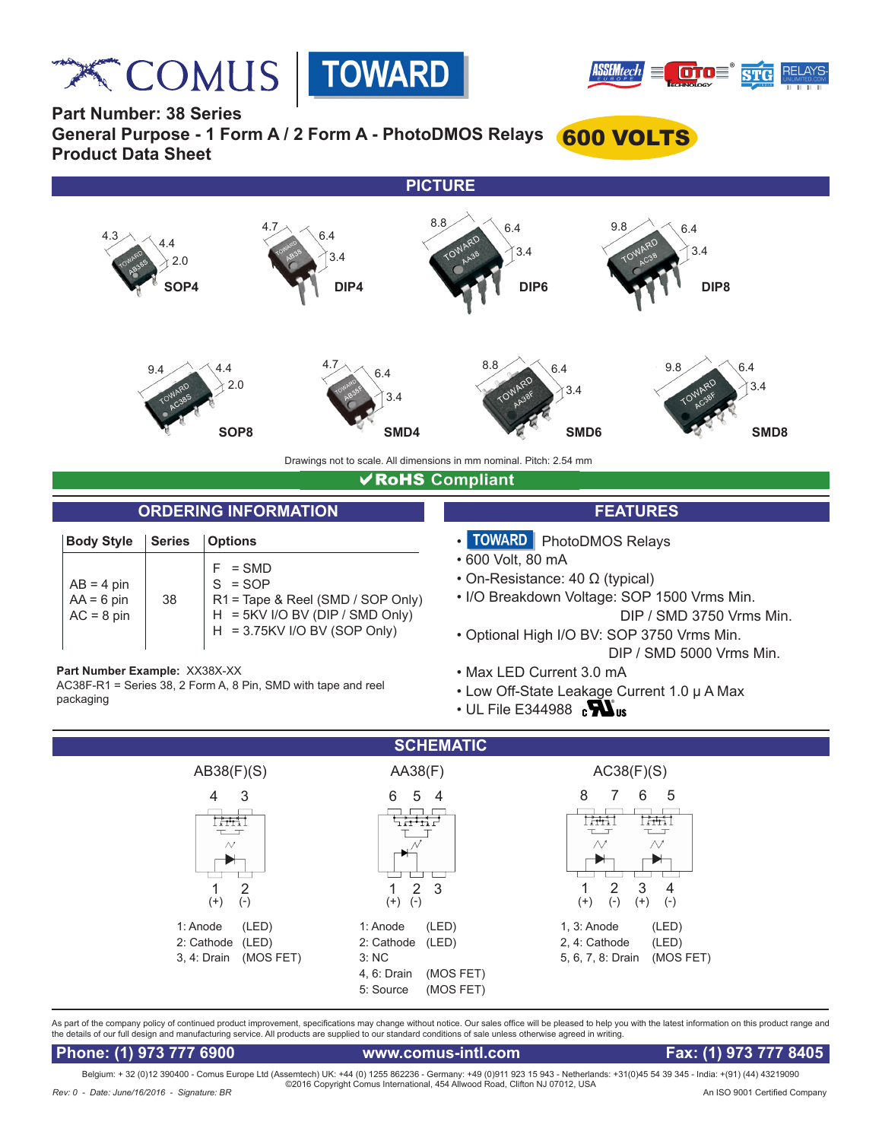**Relay COMUS** TOWARD





**Part Number: 38 Series**

**General Purpose - 1 Form A / 2 Form A - PhotoDMOS Relays** 600 VOLTS **Product Data Sheet**



# **√RoHS** Compliant

### **ORDERING INFORMATION FEATURES**

| <b>Body Style</b>                            | <b>Series</b> | <b>Options</b>                                                                                                               |
|----------------------------------------------|---------------|------------------------------------------------------------------------------------------------------------------------------|
| $AB = 4$ pin<br>$AA = 6$ pin<br>$AC = 8$ pin | 38            | $=$ SMD<br>$S = SOP$<br>R1 = Tape & Reel (SMD / SOP Only)<br>H = 5KV I/O BV (DIP / SMD Only)<br>H = 3.75KV I/O BV (SOP Only) |

**Part Number Example:** XX38X-XX

AC38F-R1 = Series 38, 2 Form A, 8 Pin, SMD with tape and reel packaging

- 
- TOWARD PhotoDMOS Relays
- 600 Volt, 80 mA
- On-Resistance: 40 Ω (typical)
- I/O Breakdown Voltage: SOP 1500 Vrms Min. DIP / SMD 3750 Vrms Min.
- Optional High I/O BV: SOP 3750 Vrms Min. DIP / SMD 5000 Vrms Min.
- Max LED Current 3.0 mA
- Low Off-State Leakage Current 1.0 μ A Max
- $\cdot$  UL File E344988  $\,$  c $\mathbf{W}$



As part of the company policy of continued product improvement, specifications may change without notice. Our sales office will be pleased to help you with the latest information on this product range and the details of our full design and manufacturing service. All products are supplied to our standard conditions of sale unless otherwise agreed in writing.

 **Phone: (1) 973 777 6900 www.comus-intl.com Fax: (1) 973 777 8405**

Belgium: + 32 (0)12 390400 - Comus Europe Ltd (Assemtech) UK: +44 (0) 1255 862236 - Germany: +49 (0)911 923 15 943 - Netherlands: +31(0)45 54 39 345 - India: +(91) (44) 43219090 ©2016 Copyright Comus International, 454 Allwood Road, Clifton NJ 07012, USA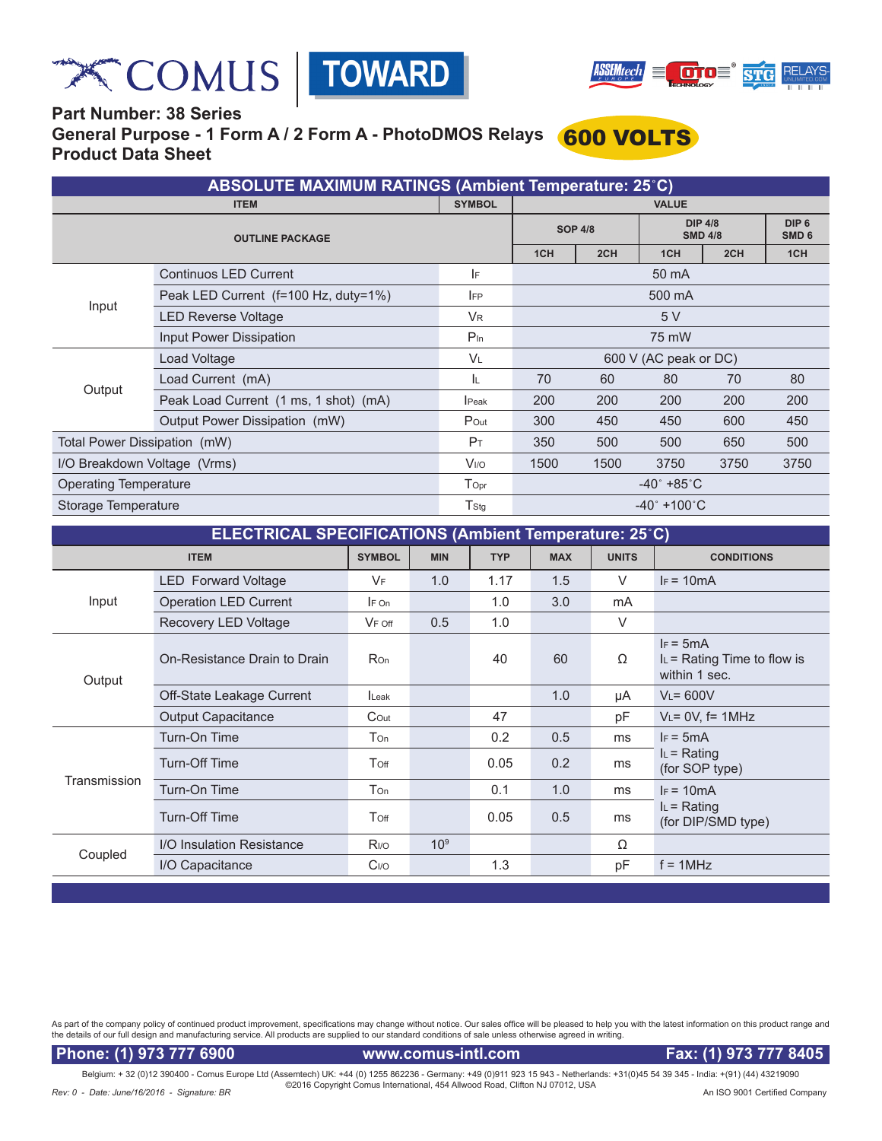





# **Part Number: 38 Series General Purpose - 1 Form A / 2 Form A - PhotoDMOS Relays** 600 VOLTS **Product Data Sheet**

| <b>ABSOLUTE MAXIMUM RATINGS (Ambient Temperature: 25°C)</b> |                                       |                                 |                       |                                  |      |                                      |     |  |
|-------------------------------------------------------------|---------------------------------------|---------------------------------|-----------------------|----------------------------------|------|--------------------------------------|-----|--|
|                                                             | <b>ITEM</b>                           | <b>VALUE</b>                    |                       |                                  |      |                                      |     |  |
|                                                             |                                       | <b>SOP 4/8</b>                  |                       | <b>DIP 4/8</b><br><b>SMD 4/8</b> |      | DIP <sub>6</sub><br>SMD <sub>6</sub> |     |  |
|                                                             |                                       | 1CH                             | 2CH                   | 1CH                              | 2CH  | 1CH                                  |     |  |
|                                                             | <b>Continuos LED Current</b>          | IF.                             | 50 mA                 |                                  |      |                                      |     |  |
|                                                             | Peak LED Current (f=100 Hz, duty=1%)  | <b>IFP</b>                      | 500 mA                |                                  |      |                                      |     |  |
| Input                                                       | <b>LED Reverse Voltage</b>            | <b>V<sub>R</sub></b>            | 5V                    |                                  |      |                                      |     |  |
|                                                             | Input Power Dissipation               | $P_{\text{In}}$                 | 75 mW                 |                                  |      |                                      |     |  |
|                                                             | Load Voltage                          | <b>VL</b>                       | 600 V (AC peak or DC) |                                  |      |                                      |     |  |
|                                                             | Load Current (mA)                     | ΙL.                             | 70                    | 60                               | 80   | 70                                   | 80  |  |
| Output                                                      | Peak Load Current (1 ms, 1 shot) (mA) | <b>I</b> Peak                   | 200                   | 200                              | 200  | 200                                  | 200 |  |
|                                                             | Output Power Dissipation (mW)         | Pout                            | 300                   | 450                              | 450  | 600                                  | 450 |  |
| Total Power Dissipation (mW)                                | P <sub>T</sub>                        | 350                             | 500                   | 500                              | 650  | 500                                  |     |  |
| I/O Breakdown Voltage (Vrms)                                | <b>V<sub>I/O</sub></b>                | 1500                            | 1500                  | 3750                             | 3750 | 3750                                 |     |  |
| <b>Operating Temperature</b>                                | $\mathsf{T}_{\mathsf{Opt}}$           | $-40^{\circ}$ +85 $^{\circ}$ C  |                       |                                  |      |                                      |     |  |
| Storage Temperature                                         | T <sub>Stg</sub>                      | $-40^{\circ}$ +100 $^{\circ}$ C |                       |                                  |      |                                      |     |  |

| <b>ELECTRICAL SPECIFICATIONS (Ambient Temperature: 25°C)</b> |                              |                  |                 |            |              |                   |                                                               |  |
|--------------------------------------------------------------|------------------------------|------------------|-----------------|------------|--------------|-------------------|---------------------------------------------------------------|--|
|                                                              | <b>SYMBOL</b>                | <b>MIN</b>       | <b>TYP</b>      | <b>MAX</b> | <b>UNITS</b> | <b>CONDITIONS</b> |                                                               |  |
|                                                              | <b>LED</b> Forward Voltage   | <b>VF</b>        | 1.0             | 1.17       | 1.5          | $\vee$            | $IF = 10mA$                                                   |  |
| Input                                                        | <b>Operation LED Current</b> | $F$ On           |                 | 1.0        | 3.0          | mA                |                                                               |  |
|                                                              | Recovery LED Voltage         | $V_F$ off        | 0.5             | 1.0        |              | $\vee$            |                                                               |  |
| Output                                                       | On-Resistance Drain to Drain | <b>Ron</b>       |                 | 40         | 60           | Ω                 | $IF = 5mA$<br>$I_L$ = Rating Time to flow is<br>within 1 sec. |  |
|                                                              | Off-State Leakage Current    | <b>I</b> Leak    |                 |            | 1.0          | μA                | $V_L = 600V$                                                  |  |
|                                                              | <b>Output Capacitance</b>    | $C$ Out          |                 | 47         |              | pF                | $V_L = 0V$ , f= 1MHz                                          |  |
|                                                              | Turn-On Time                 | Ton              |                 | 0.2        | 0.5          | ms                | $IF = 5mA$                                                    |  |
| Transmission                                                 | Turn-Off Time                | Toff             |                 | 0.05       | 0.2          | ms                | $I_L$ = Rating<br>(for SOP type)                              |  |
|                                                              | Turn-On Time                 | Ton              |                 | 0.1        | 1.0          | ms                | $IF = 10mA$                                                   |  |
|                                                              | <b>Turn-Off Time</b>         | Toff             |                 | 0.05       | 0.5          | ms                | $I_L$ = Rating<br>(for DIP/SMD type)                          |  |
|                                                              | I/O Insulation Resistance    | R <sub>I/O</sub> | 10 <sup>9</sup> |            |              | Ω                 |                                                               |  |
| Coupled                                                      | I/O Capacitance              | C <sub>I/O</sub> |                 | 1.3        |              | рF                | $f = 1$ MHz                                                   |  |
|                                                              |                              |                  |                 |            |              |                   |                                                               |  |

As part of the company policy of continued product improvement, specifications may change without notice. Our sales office will be pleased to help you with the latest information on this product range and<br>the details of ou

Phone: (1) 973 777 6900 www.comus-intl.com Fax: (1) 973 777 8405

Belgium: + 32 (0)12 390400 - Comus Europe Ltd (Assemtech) UK: +44 (0) 1255 862236 - Germany: +49 (0)911 923 15 943 - Netherlands: +31(0)45 54 39 345 - India: +(91) (44) 43219090<br>@ 2016 Copyright Comus International, 454 Al